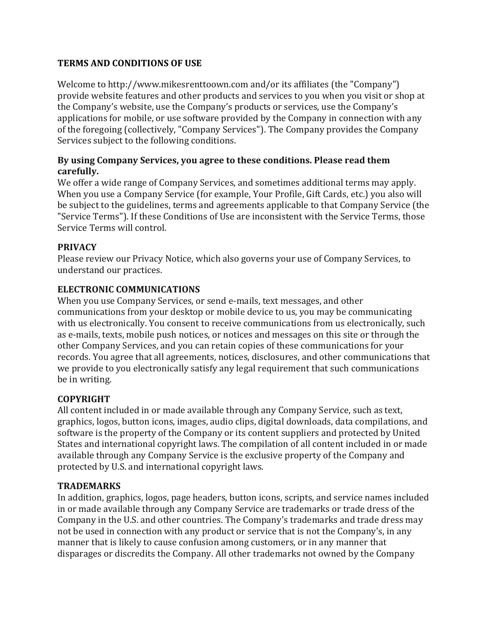## **TERMS AND CONDITIONS OF USE**

Welcome to http://www.mikesrenttoown.com and/or its affiliates (the "Company") provide website features and other products and services to you when you visit or shop at the Company's website, use the Company's products or services, use the Company's applications for mobile, or use software provided by the Company in connection with any of the foregoing (collectively, "Company Services"). The Company provides the Company Services subject to the following conditions.

## **By using Company Services, you agree to these conditions. Please read them carefully.**

We offer a wide range of Company Services, and sometimes additional terms may apply. When you use a Company Service (for example, Your Profile, Gift Cards, etc.) you also will be subject to the guidelines, terms and agreements applicable to that Company Service (the "Service Terms"). If these Conditions of Use are inconsistent with the Service Terms, those Service Terms will control.

## **PRIVACY**

Please review our Privacy Notice, which also governs your use of Company Services, to understand our practices.

## **ELECTRONIC COMMUNICATIONS**

When you use Company Services, or send e-mails, text messages, and other communications from your desktop or mobile device to us, you may be communicating with us electronically. You consent to receive communications from us electronically, such as e-mails, texts, mobile push notices, or notices and messages on this site or through the other Company Services, and you can retain copies of these communications for your records. You agree that all agreements, notices, disclosures, and other communications that we provide to you electronically satisfy any legal requirement that such communications be in writing.

### **COPYRIGHT**

All content included in or made available through any Company Service, such as text, graphics, logos, button icons, images, audio clips, digital downloads, data compilations, and software is the property of the Company or its content suppliers and protected by United States and international copyright laws. The compilation of all content included in or made available through any Company Service is the exclusive property of the Company and protected by U.S. and international copyright laws.

### **TRADEMARKS**

In addition, graphics, logos, page headers, button icons, scripts, and service names included in or made available through any Company Service are trademarks or trade dress of the Company in the U.S. and other countries. The Company's trademarks and trade dress may not be used in connection with any product or service that is not the Company's, in any manner that is likely to cause confusion among customers, or in any manner that disparages or discredits the Company. All other trademarks not owned by the Company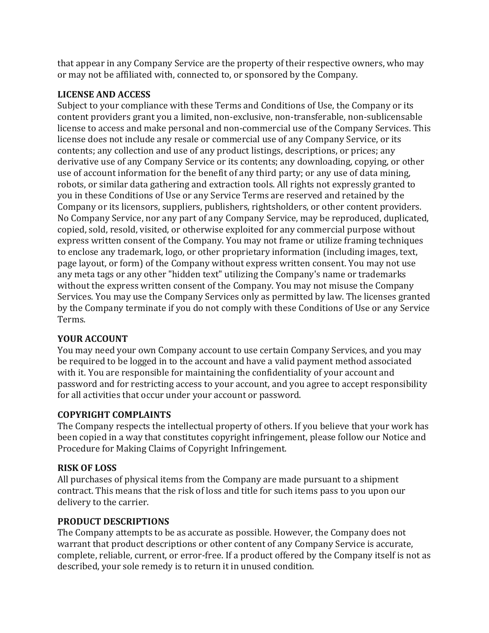that appear in any Company Service are the property of their respective owners, who may or may not be affiliated with, connected to, or sponsored by the Company.

### **LICENSE AND ACCESS**

Subject to your compliance with these Terms and Conditions of Use, the Company or its content providers grant you a limited, non-exclusive, non-transferable, non-sublicensable license to access and make personal and non-commercial use of the Company Services. This license does not include any resale or commercial use of any Company Service, or its contents; any collection and use of any product listings, descriptions, or prices; any derivative use of any Company Service or its contents; any downloading, copying, or other use of account information for the benefit of any third party; or any use of data mining, robots, or similar data gathering and extraction tools. All rights not expressly granted to you in these Conditions of Use or any Service Terms are reserved and retained by the Company or its licensors, suppliers, publishers, rightsholders, or other content providers. No Company Service, nor any part of any Company Service, may be reproduced, duplicated, copied, sold, resold, visited, or otherwise exploited for any commercial purpose without express written consent of the Company. You may not frame or utilize framing techniques to enclose any trademark, logo, or other proprietary information (including images, text, page layout, or form) of the Company without express written consent. You may not use any meta tags or any other "hidden text" utilizing the Company's name or trademarks without the express written consent of the Company. You may not misuse the Company Services. You may use the Company Services only as permitted by law. The licenses granted by the Company terminate if you do not comply with these Conditions of Use or any Service Terms.

## **YOUR ACCOUNT**

You may need your own Company account to use certain Company Services, and you may be required to be logged in to the account and have a valid payment method associated with it. You are responsible for maintaining the confidentiality of your account and password and for restricting access to your account, and you agree to accept responsibility for all activities that occur under your account or password.

## **COPYRIGHT COMPLAINTS**

The Company respects the intellectual property of others. If you believe that your work has been copied in a way that constitutes copyright infringement, please follow our Notice and Procedure for Making Claims of Copyright Infringement.

## **RISK OF LOSS**

All purchases of physical items from the Company are made pursuant to a shipment contract. This means that the risk of loss and title for such items pass to you upon our delivery to the carrier.

## **PRODUCT DESCRIPTIONS**

The Company attempts to be as accurate as possible. However, the Company does not warrant that product descriptions or other content of any Company Service is accurate, complete, reliable, current, or error-free. If a product offered by the Company itself is not as described, your sole remedy is to return it in unused condition.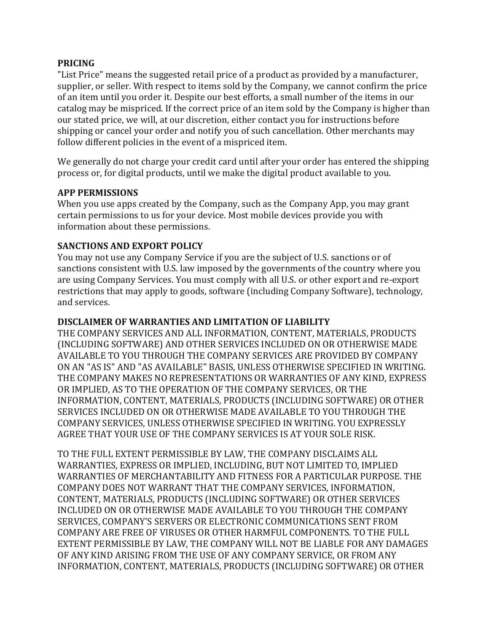#### **PRICING**

"List Price" means the suggested retail price of a product as provided by a manufacturer, supplier, or seller. With respect to items sold by the Company, we cannot confirm the price of an item until you order it. Despite our best efforts, a small number of the items in our catalog may be mispriced. If the correct price of an item sold by the Company is higher than our stated price, we will, at our discretion, either contact you for instructions before shipping or cancel your order and notify you of such cancellation. Other merchants may follow different policies in the event of a mispriced item.

We generally do not charge your credit card until after your order has entered the shipping process or, for digital products, until we make the digital product available to you.

### **APP PERMISSIONS**

When you use apps created by the Company, such as the Company App, you may grant certain permissions to us for your device. Most mobile devices provide you with information about these permissions.

### **SANCTIONS AND EXPORT POLICY**

You may not use any Company Service if you are the subject of U.S. sanctions or of sanctions consistent with U.S. law imposed by the governments of the country where you are using Company Services. You must comply with all U.S. or other export and re-export restrictions that may apply to goods, software (including Company Software), technology, and services.

### **DISCLAIMER OF WARRANTIES AND LIMITATION OF LIABILITY**

THE COMPANY SERVICES AND ALL INFORMATION, CONTENT, MATERIALS, PRODUCTS (INCLUDING SOFTWARE) AND OTHER SERVICES INCLUDED ON OR OTHERWISE MADE AVAILABLE TO YOU THROUGH THE COMPANY SERVICES ARE PROVIDED BY COMPANY ON AN "AS IS" AND "AS AVAILABLE" BASIS, UNLESS OTHERWISE SPECIFIED IN WRITING. THE COMPANY MAKES NO REPRESENTATIONS OR WARRANTIES OF ANY KIND, EXPRESS OR IMPLIED, AS TO THE OPERATION OF THE COMPANY SERVICES, OR THE INFORMATION, CONTENT, MATERIALS, PRODUCTS (INCLUDING SOFTWARE) OR OTHER SERVICES INCLUDED ON OR OTHERWISE MADE AVAILABLE TO YOU THROUGH THE COMPANY SERVICES, UNLESS OTHERWISE SPECIFIED IN WRITING. YOU EXPRESSLY AGREE THAT YOUR USE OF THE COMPANY SERVICES IS AT YOUR SOLE RISK.

TO THE FULL EXTENT PERMISSIBLE BY LAW, THE COMPANY DISCLAIMS ALL WARRANTIES, EXPRESS OR IMPLIED, INCLUDING, BUT NOT LIMITED TO, IMPLIED WARRANTIES OF MERCHANTABILITY AND FITNESS FOR A PARTICULAR PURPOSE. THE COMPANY DOES NOT WARRANT THAT THE COMPANY SERVICES, INFORMATION, CONTENT, MATERIALS, PRODUCTS (INCLUDING SOFTWARE) OR OTHER SERVICES INCLUDED ON OR OTHERWISE MADE AVAILABLE TO YOU THROUGH THE COMPANY SERVICES, COMPANY'S SERVERS OR ELECTRONIC COMMUNICATIONS SENT FROM COMPANY ARE FREE OF VIRUSES OR OTHER HARMFUL COMPONENTS. TO THE FULL EXTENT PERMISSIBLE BY LAW, THE COMPANY WILL NOT BE LIABLE FOR ANY DAMAGES OF ANY KIND ARISING FROM THE USE OF ANY COMPANY SERVICE, OR FROM ANY INFORMATION, CONTENT, MATERIALS, PRODUCTS (INCLUDING SOFTWARE) OR OTHER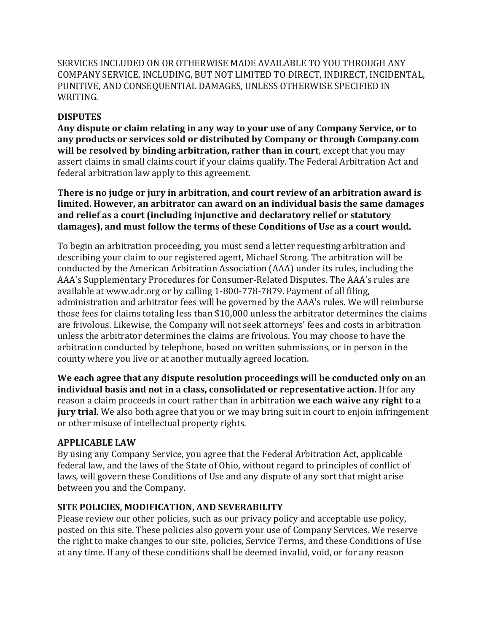SERVICES INCLUDED ON OR OTHERWISE MADE AVAILABLE TO YOU THROUGH ANY COMPANY SERVICE, INCLUDING, BUT NOT LIMITED TO DIRECT, INDIRECT, INCIDENTAL, PUNITIVE, AND CONSEQUENTIAL DAMAGES, UNLESS OTHERWISE SPECIFIED IN WRITING.

## **DISPUTES**

**Any dispute or claim relating in any way to your use of any Company Service, or to any products or services sold or distributed by Company or through Company.com will be resolved by binding arbitration, rather than in court**, except that you may assert claims in small claims court if your claims qualify. The Federal Arbitration Act and federal arbitration law apply to this agreement.

**There is no judge or jury in arbitration, and court review of an arbitration award is limited. However, an arbitrator can award on an individual basis the same damages and relief as a court (including injunctive and declaratory relief or statutory damages), and must follow the terms of these Conditions of Use as a court would.**

To begin an arbitration proceeding, you must send a letter requesting arbitration and describing your claim to our registered agent, Michael Strong. The arbitration will be conducted by the American Arbitration Association (AAA) under its rules, including the AAA's Supplementary Procedures for Consumer-Related Disputes. The AAA's rules are available at www.adr.org or by calling 1-800-778-7879. Payment of all filing, administration and arbitrator fees will be governed by the AAA's rules. We will reimburse those fees for claims totaling less than \$10,000 unless the arbitrator determines the claims are frivolous. Likewise, the Company will not seek attorneys' fees and costs in arbitration unless the arbitrator determines the claims are frivolous. You may choose to have the arbitration conducted by telephone, based on written submissions, or in person in the county where you live or at another mutually agreed location.

**We each agree that any dispute resolution proceedings will be conducted only on an individual basis and not in a class, consolidated or representative action.** If for any reason a claim proceeds in court rather than in arbitration **we each waive any right to a jury trial**. We also both agree that you or we may bring suit in court to enjoin infringement or other misuse of intellectual property rights.

## **APPLICABLE LAW**

By using any Company Service, you agree that the Federal Arbitration Act, applicable federal law, and the laws of the State of Ohio, without regard to principles of conflict of laws, will govern these Conditions of Use and any dispute of any sort that might arise between you and the Company.

## **SITE POLICIES, MODIFICATION, AND SEVERABILITY**

Please review our other policies, such as our privacy policy and acceptable use policy, posted on this site. These policies also govern your use of Company Services. We reserve the right to make changes to our site, policies, Service Terms, and these Conditions of Use at any time. If any of these conditions shall be deemed invalid, void, or for any reason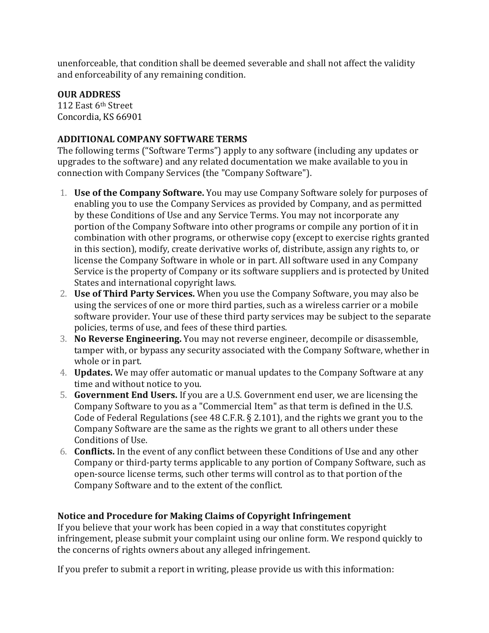unenforceable, that condition shall be deemed severable and shall not affect the validity and enforceability of any remaining condition.

### **OUR ADDRESS**

112 East 6th Street Concordia, KS 66901

## **ADDITIONAL COMPANY SOFTWARE TERMS**

The following terms ("Software Terms") apply to any software (including any updates or upgrades to the software) and any related documentation we make available to you in connection with Company Services (the "Company Software").

- 1. **Use of the Company Software.** You may use Company Software solely for purposes of enabling you to use the Company Services as provided by Company, and as permitted by these Conditions of Use and any Service Terms. You may not incorporate any portion of the Company Software into other programs or compile any portion of it in combination with other programs, or otherwise copy (except to exercise rights granted in this section), modify, create derivative works of, distribute, assign any rights to, or license the Company Software in whole or in part. All software used in any Company Service is the property of Company or its software suppliers and is protected by United States and international copyright laws.
- 2. **Use of Third Party Services.** When you use the Company Software, you may also be using the services of one or more third parties, such as a wireless carrier or a mobile software provider. Your use of these third party services may be subject to the separate policies, terms of use, and fees of these third parties.
- 3. **No Reverse Engineering.** You may not reverse engineer, decompile or disassemble, tamper with, or bypass any security associated with the Company Software, whether in whole or in part.
- 4. **Updates.** We may offer automatic or manual updates to the Company Software at any time and without notice to you.
- 5. **Government End Users.** If you are a U.S. Government end user, we are licensing the Company Software to you as a "Commercial Item" as that term is defined in the U.S. Code of Federal Regulations (see 48 C.F.R. § 2.101), and the rights we grant you to the Company Software are the same as the rights we grant to all others under these Conditions of Use.
- 6. **Conflicts.** In the event of any conflict between these Conditions of Use and any other Company or third-party terms applicable to any portion of Company Software, such as open-source license terms, such other terms will control as to that portion of the Company Software and to the extent of the conflict.

# **Notice and Procedure for Making Claims of Copyright Infringement**

If you believe that your work has been copied in a way that constitutes copyright infringement, please submit your complaint using our online form. We respond quickly to the concerns of rights owners about any alleged infringement.

If you prefer to submit a report in writing, please provide us with this information: